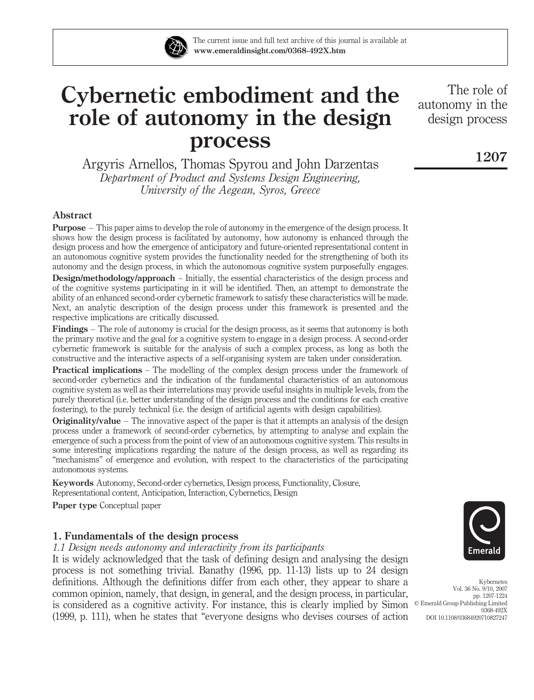

# Cybernetic embodiment and the role of autonomy in the design process

Argyris Arnellos, Thomas Spyrou and John Darzentas Department of Product and Systems Design Engineering, University of the Aegean, Syros, Greece

The role of autonomy in the design process

1207

# Abstract

Purpose – This paper aims to develop the role of autonomy in the emergence of the design process. It shows how the design process is facilitated by autonomy, how autonomy is enhanced through the design process and how the emergence of anticipatory and future-oriented representational content in an autonomous cognitive system provides the functionality needed for the strengthening of both its autonomy and the design process, in which the autonomous cognitive system purposefully engages.

Design/methodology/approach – Initially, the essential characteristics of the design process and of the cognitive systems participating in it will be identified. Then, an attempt to demonstrate the ability of an enhanced second-order cybernetic framework to satisfy these characteristics will be made. Next, an analytic description of the design process under this framework is presented and the respective implications are critically discussed.

Findings – The role of autonomy is crucial for the design process, as it seems that autonomy is both the primary motive and the goal for a cognitive system to engage in a design process. A second-order cybernetic framework is suitable for the analysis of such a complex process, as long as both the constructive and the interactive aspects of a self-organising system are taken under consideration.

Practical implications – The modelling of the complex design process under the framework of second-order cybernetics and the indication of the fundamental characteristics of an autonomous cognitive system as well as their interrelations may provide useful insights in multiple levels, from the purely theoretical (i.e. better understanding of the design process and the conditions for each creative fostering), to the purely technical (i.e. the design of artificial agents with design capabilities).

Originality/value – The innovative aspect of the paper is that it attempts an analysis of the design process under a framework of second-order cybernetics, by attempting to analyse and explain the emergence of such a process from the point of view of an autonomous cognitive system. This results in some interesting implications regarding the nature of the design process, as well as regarding its "mechanisms" of emergence and evolution, with respect to the characteristics of the participating autonomous systems.

Keywords Autonomy, Second-order cybernetics, Design process, Functionality, Closure, Representational content, Anticipation, Interaction, Cybernetics, Design

Paper type Conceptual paper

# 1. Fundamentals of the design process

1.1 Design needs autonomy and interactivity from its participants

It is widely acknowledged that the task of defining design and analysing the design process is not something trivial. Banathy (1996, pp. 11-13) lists up to 24 design definitions. Although the definitions differ from each other, they appear to share a common opinion, namely, that design, in general, and the design process, in particular, is considered as a cognitive activity. For instance, this is clearly implied by Simon  $\circ$  Emerald Group Publishing Limited (1999, p. 111), when he states that "everyone designs who devises courses of action



Kybernetes Vol. 36 No. 9/10, 2007 pp. 1207-1224 0368-492X DOI 10.1108/03684920710827247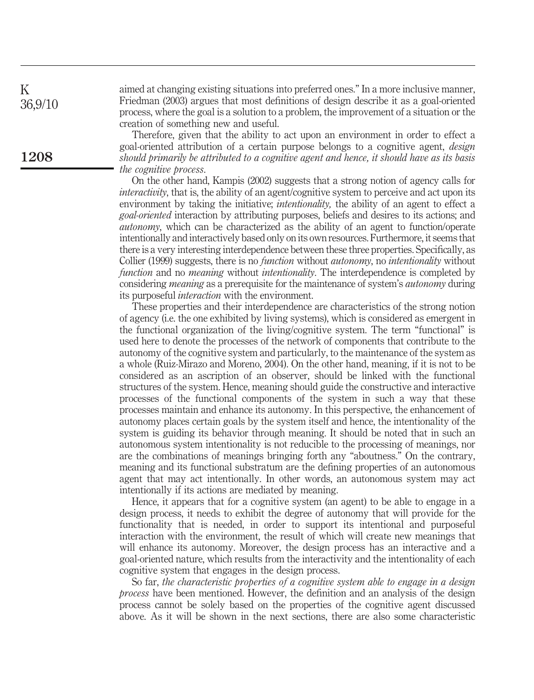K 36,9/10 aimed at changing existing situations into preferred ones." In a more inclusive manner, Friedman (2003) argues that most definitions of design describe it as a goal-oriented process, where the goal is a solution to a problem, the improvement of a situation or the creation of something new and useful.

Therefore, given that the ability to act upon an environment in order to effect a goal-oriented attribution of a certain purpose belongs to a cognitive agent, design should primarily be attributed to a cognitive agent and hence, it should have as its basis the cognitive process.

On the other hand, Kampis (2002) suggests that a strong notion of agency calls for interactivity, that is, the ability of an agent/cognitive system to perceive and act upon its environment by taking the initiative; *intentionality*, the ability of an agent to effect a goal-oriented interaction by attributing purposes, beliefs and desires to its actions; and autonomy, which can be characterized as the ability of an agent to function/operate intentionally and interactively based only on its own resources. Furthermore, it seems that there is a very interesting interdependence between these three properties. Specifically, as Collier (1999) suggests, there is no *function* without *autonomy*, no *intentionality* without function and no *meaning* without *intentionality*. The interdependence is completed by considering meaning as a prerequisite for the maintenance of system's autonomy during its purposeful interaction with the environment.

These properties and their interdependence are characteristics of the strong notion of agency (i.e. the one exhibited by living systems), which is considered as emergent in the functional organization of the living/cognitive system. The term "functional" is used here to denote the processes of the network of components that contribute to the autonomy of the cognitive system and particularly, to the maintenance of the system as a whole (Ruiz-Mirazo and Moreno, 2004). On the other hand, meaning, if it is not to be considered as an ascription of an observer, should be linked with the functional structures of the system. Hence, meaning should guide the constructive and interactive processes of the functional components of the system in such a way that these processes maintain and enhance its autonomy. In this perspective, the enhancement of autonomy places certain goals by the system itself and hence, the intentionality of the system is guiding its behavior through meaning. It should be noted that in such an autonomous system intentionality is not reducible to the processing of meanings, nor are the combinations of meanings bringing forth any "aboutness." On the contrary, meaning and its functional substratum are the defining properties of an autonomous agent that may act intentionally. In other words, an autonomous system may act intentionally if its actions are mediated by meaning.

Hence, it appears that for a cognitive system (an agent) to be able to engage in a design process, it needs to exhibit the degree of autonomy that will provide for the functionality that is needed, in order to support its intentional and purposeful interaction with the environment, the result of which will create new meanings that will enhance its autonomy. Moreover, the design process has an interactive and a goal-oriented nature, which results from the interactivity and the intentionality of each cognitive system that engages in the design process.

So far, the characteristic properties of a cognitive system able to engage in a design process have been mentioned. However, the definition and an analysis of the design process cannot be solely based on the properties of the cognitive agent discussed above. As it will be shown in the next sections, there are also some characteristic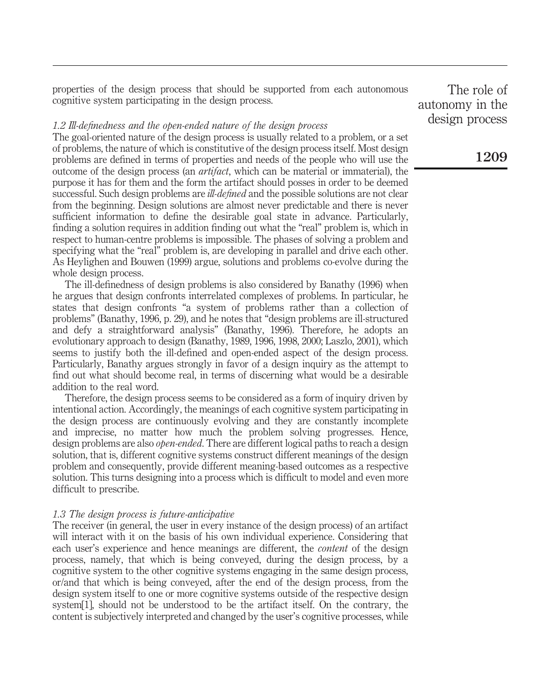properties of the design process that should be supported from each autonomous cognitive system participating in the design process.

### 1.2 Ill-definedness and the open-ended nature of the design process

The goal-oriented nature of the design process is usually related to a problem, or a set of problems, the nature of which is constitutive of the design process itself. Most design problems are defined in terms of properties and needs of the people who will use the outcome of the design process (an artifact, which can be material or immaterial), the purpose it has for them and the form the artifact should posses in order to be deemed successful. Such design problems are *ill-defined* and the possible solutions are not clear from the beginning. Design solutions are almost never predictable and there is never sufficient information to define the desirable goal state in advance. Particularly, finding a solution requires in addition finding out what the "real" problem is, which in respect to human-centre problems is impossible. The phases of solving a problem and specifying what the "real" problem is, are developing in parallel and drive each other. As Heylighen and Bouwen (1999) argue, solutions and problems co-evolve during the whole design process.

The ill-definedness of design problems is also considered by Banathy (1996) when he argues that design confronts interrelated complexes of problems. In particular, he states that design confronts "a system of problems rather than a collection of problems" (Banathy, 1996, p. 29), and he notes that "design problems are ill-structured and defy a straightforward analysis" (Banathy, 1996). Therefore, he adopts an evolutionary approach to design (Banathy, 1989, 1996, 1998, 2000; Laszlo, 2001), which seems to justify both the ill-defined and open-ended aspect of the design process. Particularly, Banathy argues strongly in favor of a design inquiry as the attempt to find out what should become real, in terms of discerning what would be a desirable addition to the real word.

Therefore, the design process seems to be considered as a form of inquiry driven by intentional action. Accordingly, the meanings of each cognitive system participating in the design process are continuously evolving and they are constantly incomplete and imprecise, no matter how much the problem solving progresses. Hence, design problems are also *open-ended*. There are different logical paths to reach a design solution, that is, different cognitive systems construct different meanings of the design problem and consequently, provide different meaning-based outcomes as a respective solution. This turns designing into a process which is difficult to model and even more difficult to prescribe.

#### 1.3 The design process is future-anticipative

The receiver (in general, the user in every instance of the design process) of an artifact will interact with it on the basis of his own individual experience. Considering that each user's experience and hence meanings are different, the content of the design process, namely, that which is being conveyed, during the design process, by a cognitive system to the other cognitive systems engaging in the same design process, or/and that which is being conveyed, after the end of the design process, from the design system itself to one or more cognitive systems outside of the respective design system[1], should not be understood to be the artifact itself. On the contrary, the content is subjectively interpreted and changed by the user's cognitive processes, while

The role of autonomy in the design process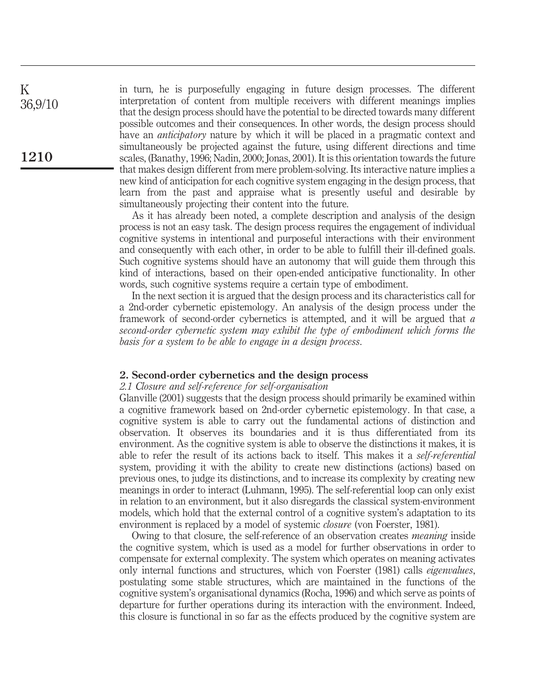in turn, he is purposefully engaging in future design processes. The different interpretation of content from multiple receivers with different meanings implies that the design process should have the potential to be directed towards many different possible outcomes and their consequences. In other words, the design process should have an *anticipatory* nature by which it will be placed in a pragmatic context and simultaneously be projected against the future, using different directions and time scales, (Banathy, 1996; Nadin, 2000; Jonas, 2001). It is this orientation towards the future that makes design different from mere problem-solving. Its interactive nature implies a new kind of anticipation for each cognitive system engaging in the design process, that learn from the past and appraise what is presently useful and desirable by simultaneously projecting their content into the future.

As it has already been noted, a complete description and analysis of the design process is not an easy task. The design process requires the engagement of individual cognitive systems in intentional and purposeful interactions with their environment and consequently with each other, in order to be able to fulfill their ill-defined goals. Such cognitive systems should have an autonomy that will guide them through this kind of interactions, based on their open-ended anticipative functionality. In other words, such cognitive systems require a certain type of embodiment.

In the next section it is argued that the design process and its characteristics call for a 2nd-order cybernetic epistemology. An analysis of the design process under the framework of second-order cybernetics is attempted, and it will be argued that a second-order cybernetic system may exhibit the type of embodiment which forms the basis for a system to be able to engage in a design process.

#### 2. Second-order cybernetics and the design process

## 2.1 Closure and self-reference for self-organisation

Glanville (2001) suggests that the design process should primarily be examined within a cognitive framework based on 2nd-order cybernetic epistemology. In that case, a cognitive system is able to carry out the fundamental actions of distinction and observation. It observes its boundaries and it is thus differentiated from its environment. As the cognitive system is able to observe the distinctions it makes, it is able to refer the result of its actions back to itself. This makes it a self-referential system, providing it with the ability to create new distinctions (actions) based on previous ones, to judge its distinctions, and to increase its complexity by creating new meanings in order to interact (Luhmann, 1995). The self-referential loop can only exist in relation to an environment, but it also disregards the classical system-environment models, which hold that the external control of a cognitive system's adaptation to its environment is replaced by a model of systemic *closure* (von Foerster, 1981).

Owing to that closure, the self-reference of an observation creates *meaning* inside the cognitive system, which is used as a model for further observations in order to compensate for external complexity. The system which operates on meaning activates only internal functions and structures, which von Foerster (1981) calls eigenvalues, postulating some stable structures, which are maintained in the functions of the cognitive system's organisational dynamics (Rocha, 1996) and which serve as points of departure for further operations during its interaction with the environment. Indeed, this closure is functional in so far as the effects produced by the cognitive system are

K 36,9/10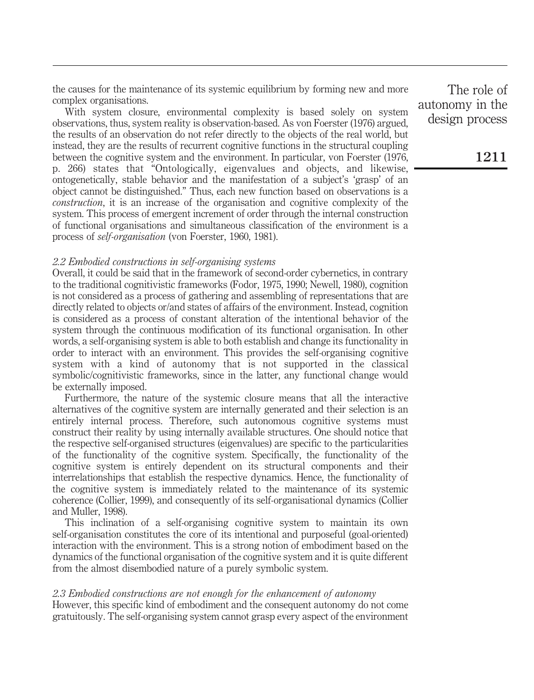the causes for the maintenance of its systemic equilibrium by forming new and more complex organisations.

With system closure, environmental complexity is based solely on system observations, thus, system reality is observation-based. As von Foerster (1976) argued, the results of an observation do not refer directly to the objects of the real world, but instead, they are the results of recurrent cognitive functions in the structural coupling between the cognitive system and the environment. In particular, von Foerster (1976, p. 266) states that "Ontologically, eigenvalues and objects, and likewise, ontogenetically, stable behavior and the manifestation of a subject's 'grasp' of an object cannot be distinguished." Thus, each new function based on observations is a construction, it is an increase of the organisation and cognitive complexity of the system. This process of emergent increment of order through the internal construction of functional organisations and simultaneous classification of the environment is a process of self-organisation (von Foerster, 1960, 1981).

## 2.2 Embodied constructions in self-organising systems

Overall, it could be said that in the framework of second-order cybernetics, in contrary to the traditional cognitivistic frameworks (Fodor, 1975, 1990; Newell, 1980), cognition is not considered as a process of gathering and assembling of representations that are directly related to objects or/and states of affairs of the environment. Instead, cognition is considered as a process of constant alteration of the intentional behavior of the system through the continuous modification of its functional organisation. In other words, a self-organising system is able to both establish and change its functionality in order to interact with an environment. This provides the self-organising cognitive system with a kind of autonomy that is not supported in the classical symbolic/cognitivistic frameworks, since in the latter, any functional change would be externally imposed.

Furthermore, the nature of the systemic closure means that all the interactive alternatives of the cognitive system are internally generated and their selection is an entirely internal process. Therefore, such autonomous cognitive systems must construct their reality by using internally available structures. One should notice that the respective self-organised structures (eigenvalues) are specific to the particularities of the functionality of the cognitive system. Specifically, the functionality of the cognitive system is entirely dependent on its structural components and their interrelationships that establish the respective dynamics. Hence, the functionality of the cognitive system is immediately related to the maintenance of its systemic coherence (Collier, 1999), and consequently of its self-organisational dynamics (Collier and Muller, 1998).

This inclination of a self-organising cognitive system to maintain its own self-organisation constitutes the core of its intentional and purposeful (goal-oriented) interaction with the environment. This is a strong notion of embodiment based on the dynamics of the functional organisation of the cognitive system and it is quite different from the almost disembodied nature of a purely symbolic system.

#### 2.3 Embodied constructions are not enough for the enhancement of autonomy

However, this specific kind of embodiment and the consequent autonomy do not come gratuitously. The self-organising system cannot grasp every aspect of the environment

The role of autonomy in the design process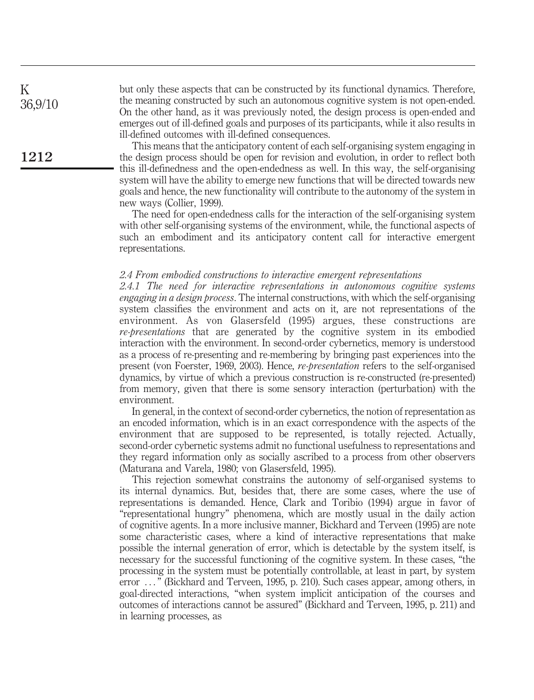but only these aspects that can be constructed by its functional dynamics. Therefore, the meaning constructed by such an autonomous cognitive system is not open-ended. On the other hand, as it was previously noted, the design process is open-ended and emerges out of ill-defined goals and purposes of its participants, while it also results in ill-defined outcomes with ill-defined consequences.

This means that the anticipatory content of each self-organising system engaging in the design process should be open for revision and evolution, in order to reflect both this ill-definedness and the open-endedness as well. In this way, the self-organising system will have the ability to emerge new functions that will be directed towards new goals and hence, the new functionality will contribute to the autonomy of the system in new ways (Collier, 1999).

The need for open-endedness calls for the interaction of the self-organising system with other self-organising systems of the environment, while, the functional aspects of such an embodiment and its anticipatory content call for interactive emergent representations.

#### 2.4 From embodied constructions to interactive emergent representations

2.4.1 The need for interactive representations in autonomous cognitive systems engaging in a design process. The internal constructions, with which the self-organising system classifies the environment and acts on it, are not representations of the environment. As von Glasersfeld (1995) argues, these constructions are re-presentations that are generated by the cognitive system in its embodied interaction with the environment. In second-order cybernetics, memory is understood as a process of re-presenting and re-membering by bringing past experiences into the present (von Foerster, 1969, 2003). Hence, re-presentation refers to the self-organised dynamics, by virtue of which a previous construction is re-constructed (re-presented) from memory, given that there is some sensory interaction (perturbation) with the environment.

In general, in the context of second-order cybernetics, the notion of representation as an encoded information, which is in an exact correspondence with the aspects of the environment that are supposed to be represented, is totally rejected. Actually, second-order cybernetic systems admit no functional usefulness to representations and they regard information only as socially ascribed to a process from other observers (Maturana and Varela, 1980; von Glasersfeld, 1995).

This rejection somewhat constrains the autonomy of self-organised systems to its internal dynamics. But, besides that, there are some cases, where the use of representations is demanded. Hence, Clark and Toribio (1994) argue in favor of "representational hungry" phenomena, which are mostly usual in the daily action of cognitive agents. In a more inclusive manner, Bickhard and Terveen (1995) are note some characteristic cases, where a kind of interactive representations that make possible the internal generation of error, which is detectable by the system itself, is necessary for the successful functioning of the cognitive system. In these cases, "the processing in the system must be potentially controllable, at least in part, by system error ..." (Bickhard and Terveen, 1995, p. 210). Such cases appear, among others, in goal-directed interactions, "when system implicit anticipation of the courses and outcomes of interactions cannot be assured" (Bickhard and Terveen, 1995, p. 211) and in learning processes, as

36,9/10

1212

K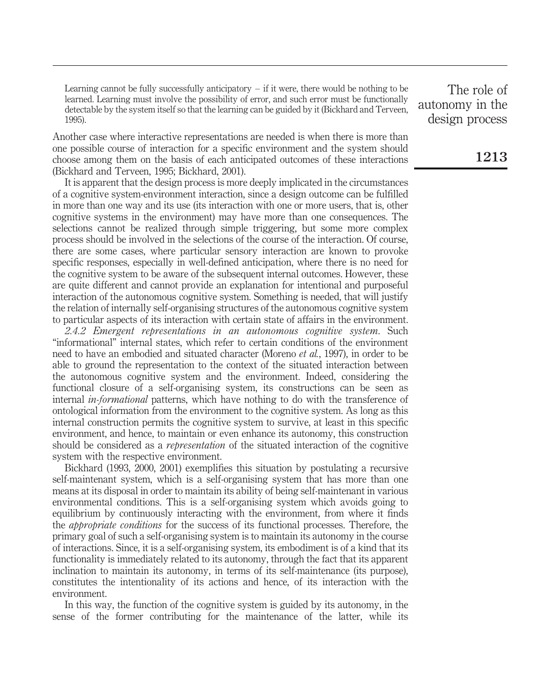Learning cannot be fully successfully anticipatory  $-$  if it were, there would be nothing to be learned. Learning must involve the possibility of error, and such error must be functionally detectable by the system itself so that the learning can be guided by it (Bickhard and Terveen, 1995).

Another case where interactive representations are needed is when there is more than one possible course of interaction for a specific environment and the system should choose among them on the basis of each anticipated outcomes of these interactions (Bickhard and Terveen, 1995; Bickhard, 2001).

It is apparent that the design process is more deeply implicated in the circumstances of a cognitive system-environment interaction, since a design outcome can be fulfilled in more than one way and its use (its interaction with one or more users, that is, other cognitive systems in the environment) may have more than one consequences. The selections cannot be realized through simple triggering, but some more complex process should be involved in the selections of the course of the interaction. Of course, there are some cases, where particular sensory interaction are known to provoke specific responses, especially in well-defined anticipation, where there is no need for the cognitive system to be aware of the subsequent internal outcomes. However, these are quite different and cannot provide an explanation for intentional and purposeful interaction of the autonomous cognitive system. Something is needed, that will justify the relation of internally self-organising structures of the autonomous cognitive system to particular aspects of its interaction with certain state of affairs in the environment.

2.4.2 Emergent representations in an autonomous cognitive system. Such "informational" internal states, which refer to certain conditions of the environment need to have an embodied and situated character (Moreno et al., 1997), in order to be able to ground the representation to the context of the situated interaction between the autonomous cognitive system and the environment. Indeed, considering the functional closure of a self-organising system, its constructions can be seen as internal in-formational patterns, which have nothing to do with the transference of ontological information from the environment to the cognitive system. As long as this internal construction permits the cognitive system to survive, at least in this specific environment, and hence, to maintain or even enhance its autonomy, this construction should be considered as a representation of the situated interaction of the cognitive system with the respective environment.

Bickhard (1993, 2000, 2001) exemplifies this situation by postulating a recursive self-maintenant system, which is a self-organising system that has more than one means at its disposal in order to maintain its ability of being self-maintenant in various environmental conditions. This is a self-organising system which avoids going to equilibrium by continuously interacting with the environment, from where it finds the *appropriate conditions* for the success of its functional processes. Therefore, the primary goal of such a self-organising system is to maintain its autonomy in the course of interactions. Since, it is a self-organising system, its embodiment is of a kind that its functionality is immediately related to its autonomy, through the fact that its apparent inclination to maintain its autonomy, in terms of its self-maintenance (its purpose), constitutes the intentionality of its actions and hence, of its interaction with the environment.

In this way, the function of the cognitive system is guided by its autonomy, in the sense of the former contributing for the maintenance of the latter, while its

The role of autonomy in the design process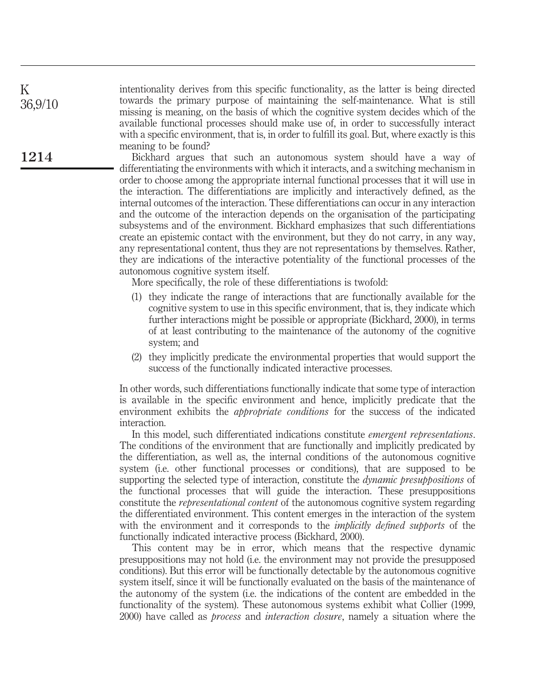intentionality derives from this specific functionality, as the latter is being directed towards the primary purpose of maintaining the self-maintenance. What is still missing is meaning, on the basis of which the cognitive system decides which of the available functional processes should make use of, in order to successfully interact with a specific environment, that is, in order to fulfill its goal. But, where exactly is this meaning to be found? 36,9/10 1214

K

Bickhard argues that such an autonomous system should have a way of differentiating the environments with which it interacts, and a switching mechanism in order to choose among the appropriate internal functional processes that it will use in the interaction. The differentiations are implicitly and interactively defined, as the internal outcomes of the interaction. These differentiations can occur in any interaction and the outcome of the interaction depends on the organisation of the participating subsystems and of the environment. Bickhard emphasizes that such differentiations create an epistemic contact with the environment, but they do not carry, in any way, any representational content, thus they are not representations by themselves. Rather, they are indications of the interactive potentiality of the functional processes of the autonomous cognitive system itself.

More specifically, the role of these differentiations is twofold:

- (1) they indicate the range of interactions that are functionally available for the cognitive system to use in this specific environment, that is, they indicate which further interactions might be possible or appropriate (Bickhard, 2000), in terms of at least contributing to the maintenance of the autonomy of the cognitive system; and
- (2) they implicitly predicate the environmental properties that would support the success of the functionally indicated interactive processes.

In other words, such differentiations functionally indicate that some type of interaction is available in the specific environment and hence, implicitly predicate that the environment exhibits the *appropriate conditions* for the success of the indicated interaction.

In this model, such differentiated indications constitute *emergent representations*. The conditions of the environment that are functionally and implicitly predicated by the differentiation, as well as, the internal conditions of the autonomous cognitive system (i.e. other functional processes or conditions), that are supposed to be supporting the selected type of interaction, constitute the *dynamic presuppositions* of the functional processes that will guide the interaction. These presuppositions constitute the representational content of the autonomous cognitive system regarding the differentiated environment. This content emerges in the interaction of the system with the environment and it corresponds to the *implicitly defined supports* of the functionally indicated interactive process (Bickhard, 2000).

This content may be in error, which means that the respective dynamic presuppositions may not hold (i.e. the environment may not provide the presupposed conditions). But this error will be functionally detectable by the autonomous cognitive system itself, since it will be functionally evaluated on the basis of the maintenance of the autonomy of the system (i.e. the indications of the content are embedded in the functionality of the system). These autonomous systems exhibit what Collier (1999, 2000) have called as process and interaction closure, namely a situation where the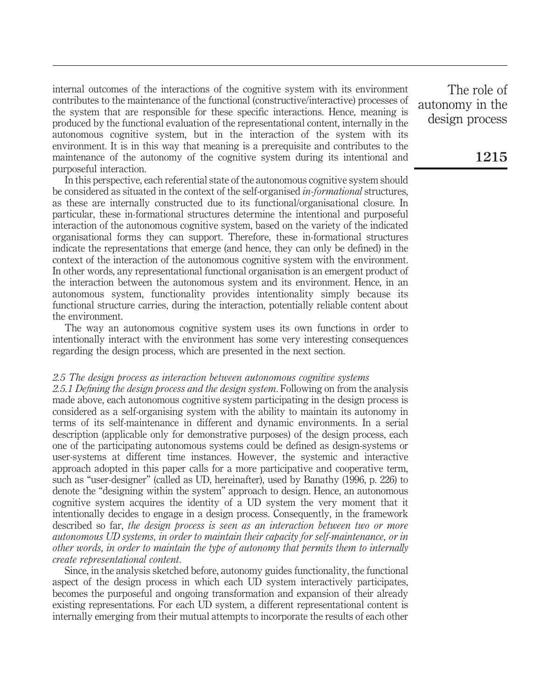internal outcomes of the interactions of the cognitive system with its environment contributes to the maintenance of the functional (constructive/interactive) processes of the system that are responsible for these specific interactions. Hence, meaning is produced by the functional evaluation of the representational content, internally in the autonomous cognitive system, but in the interaction of the system with its environment. It is in this way that meaning is a prerequisite and contributes to the maintenance of the autonomy of the cognitive system during its intentional and purposeful interaction.

In this perspective, each referential state of the autonomous cognitive system should be considered as situated in the context of the self-organised in-formational structures, as these are internally constructed due to its functional/organisational closure. In particular, these in-formational structures determine the intentional and purposeful interaction of the autonomous cognitive system, based on the variety of the indicated organisational forms they can support. Therefore, these in-formational structures indicate the representations that emerge (and hence, they can only be defined) in the context of the interaction of the autonomous cognitive system with the environment. In other words, any representational functional organisation is an emergent product of the interaction between the autonomous system and its environment. Hence, in an autonomous system, functionality provides intentionality simply because its functional structure carries, during the interaction, potentially reliable content about the environment.

The way an autonomous cognitive system uses its own functions in order to intentionally interact with the environment has some very interesting consequences regarding the design process, which are presented in the next section.

#### 2.5 The design process as interaction between autonomous cognitive systems

2.5.1 Defining the design process and the design system. Following on from the analysis made above, each autonomous cognitive system participating in the design process is considered as a self-organising system with the ability to maintain its autonomy in terms of its self-maintenance in different and dynamic environments. In a serial description (applicable only for demonstrative purposes) of the design process, each one of the participating autonomous systems could be defined as design-systems or user-systems at different time instances. However, the systemic and interactive approach adopted in this paper calls for a more participative and cooperative term, such as "user-designer" (called as UD, hereinafter), used by Banathy (1996, p. 226) to denote the "designing within the system" approach to design. Hence, an autonomous cognitive system acquires the identity of a UD system the very moment that it intentionally decides to engage in a design process. Consequently, in the framework described so far, the design process is seen as an interaction between two or more autonomous UD systems, in order to maintain their capacity for self-maintenance, or in other words, in order to maintain the type of autonomy that permits them to internally create representational content.

Since, in the analysis sketched before, autonomy guides functionality, the functional aspect of the design process in which each UD system interactively participates, becomes the purposeful and ongoing transformation and expansion of their already existing representations. For each UD system, a different representational content is internally emerging from their mutual attempts to incorporate the results of each other

The role of autonomy in the design process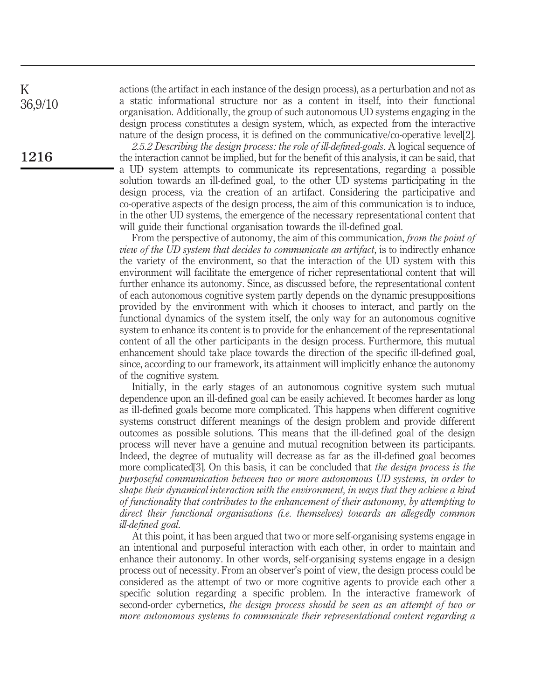K 36,9/10 actions (the artifact in each instance of the design process), as a perturbation and not as a static informational structure nor as a content in itself, into their functional organisation. Additionally, the group of such autonomous UD systems engaging in the design process constitutes a design system, which, as expected from the interactive nature of the design process, it is defined on the communicative/co-operative level[2].

2.5.2 Describing the design process: the role of ill-defined-goals. A logical sequence of the interaction cannot be implied, but for the benefit of this analysis, it can be said, that a UD system attempts to communicate its representations, regarding a possible solution towards an ill-defined goal, to the other UD systems participating in the design process, via the creation of an artifact. Considering the participative and co-operative aspects of the design process, the aim of this communication is to induce, in the other UD systems, the emergence of the necessary representational content that will guide their functional organisation towards the ill-defined goal.

From the perspective of autonomy, the aim of this communication, *from the point of* view of the UD system that decides to communicate an artifact, is to indirectly enhance the variety of the environment, so that the interaction of the UD system with this environment will facilitate the emergence of richer representational content that will further enhance its autonomy. Since, as discussed before, the representational content of each autonomous cognitive system partly depends on the dynamic presuppositions provided by the environment with which it chooses to interact, and partly on the functional dynamics of the system itself, the only way for an autonomous cognitive system to enhance its content is to provide for the enhancement of the representational content of all the other participants in the design process. Furthermore, this mutual enhancement should take place towards the direction of the specific ill-defined goal, since, according to our framework, its attainment will implicitly enhance the autonomy of the cognitive system.

Initially, in the early stages of an autonomous cognitive system such mutual dependence upon an ill-defined goal can be easily achieved. It becomes harder as long as ill-defined goals become more complicated. This happens when different cognitive systems construct different meanings of the design problem and provide different outcomes as possible solutions. This means that the ill-defined goal of the design process will never have a genuine and mutual recognition between its participants. Indeed, the degree of mutuality will decrease as far as the ill-defined goal becomes more complicated [3]. On this basis, it can be concluded that the design process is the purposeful communication between two or more autonomous UD systems, in order to shape their dynamical interaction with the environment, in ways that they achieve a kind of functionality that contributes to the enhancement of their autonomy, by attempting to direct their functional organisations (i.e. themselves) towards an allegedly common ill-defined goal.

At this point, it has been argued that two or more self-organising systems engage in an intentional and purposeful interaction with each other, in order to maintain and enhance their autonomy. In other words, self-organising systems engage in a design process out of necessity. From an observer's point of view, the design process could be considered as the attempt of two or more cognitive agents to provide each other a specific solution regarding a specific problem. In the interactive framework of second-order cybernetics, the design process should be seen as an attempt of two or more autonomous systems to communicate their representational content regarding a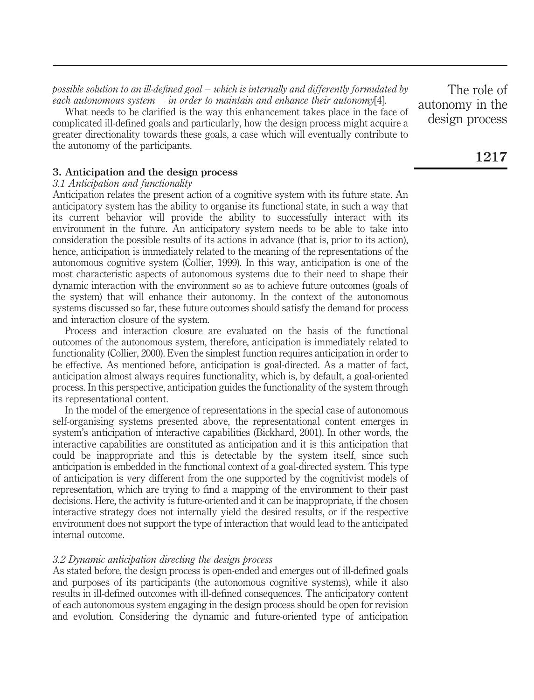possible solution to an ill-defined goal – which is internally and differently formulated by each autonomous system  $-$  in order to maintain and enhance their autonomy[4].

What needs to be clarified is the way this enhancement takes place in the face of complicated ill-defined goals and particularly, how the design process might acquire a greater directionality towards these goals, a case which will eventually contribute to the autonomy of the participants.

# 3. Anticipation and the design process

# 3.1 Anticipation and functionality

Anticipation relates the present action of a cognitive system with its future state. An anticipatory system has the ability to organise its functional state, in such a way that its current behavior will provide the ability to successfully interact with its environment in the future. An anticipatory system needs to be able to take into consideration the possible results of its actions in advance (that is, prior to its action), hence, anticipation is immediately related to the meaning of the representations of the autonomous cognitive system (Collier, 1999). In this way, anticipation is one of the most characteristic aspects of autonomous systems due to their need to shape their dynamic interaction with the environment so as to achieve future outcomes (goals of the system) that will enhance their autonomy. In the context of the autonomous systems discussed so far, these future outcomes should satisfy the demand for process and interaction closure of the system.

Process and interaction closure are evaluated on the basis of the functional outcomes of the autonomous system, therefore, anticipation is immediately related to functionality (Collier, 2000). Even the simplest function requires anticipation in order to be effective. As mentioned before, anticipation is goal-directed. As a matter of fact, anticipation almost always requires functionality, which is, by default, a goal-oriented process. In this perspective, anticipation guides the functionality of the system through its representational content.

In the model of the emergence of representations in the special case of autonomous self-organising systems presented above, the representational content emerges in system's anticipation of interactive capabilities (Bickhard, 2001). In other words, the interactive capabilities are constituted as anticipation and it is this anticipation that could be inappropriate and this is detectable by the system itself, since such anticipation is embedded in the functional context of a goal-directed system. This type of anticipation is very different from the one supported by the cognitivist models of representation, which are trying to find a mapping of the environment to their past decisions. Here, the activity is future-oriented and it can be inappropriate, if the chosen interactive strategy does not internally yield the desired results, or if the respective environment does not support the type of interaction that would lead to the anticipated internal outcome.

#### 3.2 Dynamic anticipation directing the design process

As stated before, the design process is open-ended and emerges out of ill-defined goals and purposes of its participants (the autonomous cognitive systems), while it also results in ill-defined outcomes with ill-defined consequences. The anticipatory content of each autonomous system engaging in the design process should be open for revision and evolution. Considering the dynamic and future-oriented type of anticipation

The role of autonomy in the design process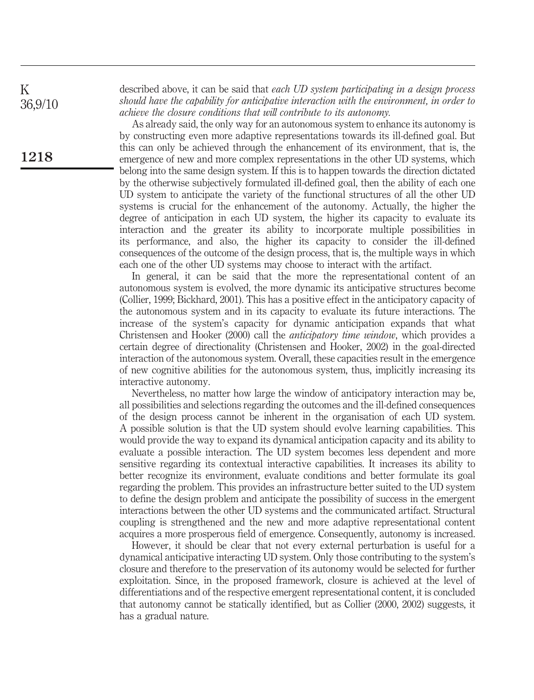K 36,9/10

1218

described above, it can be said that each UD system participating in a design process should have the capability for anticipative interaction with the environment, in order to achieve the closure conditions that will contribute to its autonomy.

As already said, the only way for an autonomous system to enhance its autonomy is by constructing even more adaptive representations towards its ill-defined goal. But this can only be achieved through the enhancement of its environment, that is, the emergence of new and more complex representations in the other UD systems, which belong into the same design system. If this is to happen towards the direction dictated by the otherwise subjectively formulated ill-defined goal, then the ability of each one UD system to anticipate the variety of the functional structures of all the other UD systems is crucial for the enhancement of the autonomy. Actually, the higher the degree of anticipation in each UD system, the higher its capacity to evaluate its interaction and the greater its ability to incorporate multiple possibilities in its performance, and also, the higher its capacity to consider the ill-defined consequences of the outcome of the design process, that is, the multiple ways in which each one of the other UD systems may choose to interact with the artifact.

In general, it can be said that the more the representational content of an autonomous system is evolved, the more dynamic its anticipative structures become (Collier, 1999; Bickhard, 2001). This has a positive effect in the anticipatory capacity of the autonomous system and in its capacity to evaluate its future interactions. The increase of the system's capacity for dynamic anticipation expands that what Christensen and Hooker (2000) call the anticipatory time window, which provides a certain degree of directionality (Christensen and Hooker, 2002) in the goal-directed interaction of the autonomous system. Overall, these capacities result in the emergence of new cognitive abilities for the autonomous system, thus, implicitly increasing its interactive autonomy.

Nevertheless, no matter how large the window of anticipatory interaction may be, all possibilities and selections regarding the outcomes and the ill-defined consequences of the design process cannot be inherent in the organisation of each UD system. A possible solution is that the UD system should evolve learning capabilities. This would provide the way to expand its dynamical anticipation capacity and its ability to evaluate a possible interaction. The UD system becomes less dependent and more sensitive regarding its contextual interactive capabilities. It increases its ability to better recognize its environment, evaluate conditions and better formulate its goal regarding the problem. This provides an infrastructure better suited to the UD system to define the design problem and anticipate the possibility of success in the emergent interactions between the other UD systems and the communicated artifact. Structural coupling is strengthened and the new and more adaptive representational content acquires a more prosperous field of emergence. Consequently, autonomy is increased.

However, it should be clear that not every external perturbation is useful for a dynamical anticipative interacting UD system. Only those contributing to the system's closure and therefore to the preservation of its autonomy would be selected for further exploitation. Since, in the proposed framework, closure is achieved at the level of differentiations and of the respective emergent representational content, it is concluded that autonomy cannot be statically identified, but as Collier (2000, 2002) suggests, it has a gradual nature.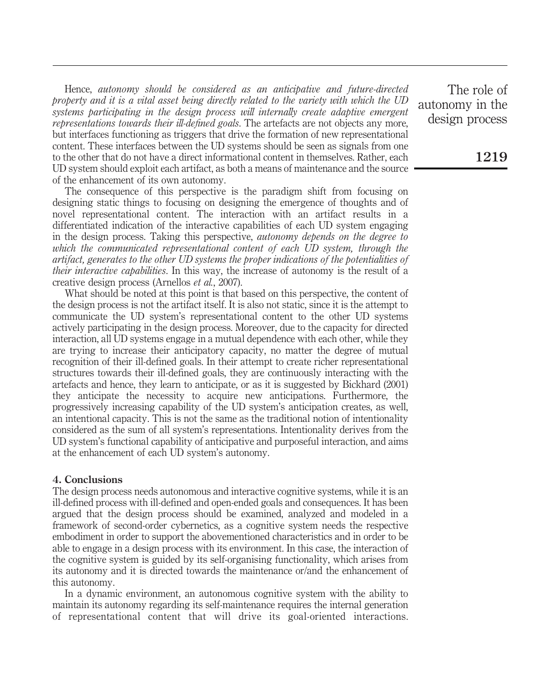Hence, autonomy should be considered as an anticipative and future-directed property and it is a vital asset being directly related to the variety with which the UD systems participating in the design process will internally create adaptive emergent representations towards their ill-defined goals. The artefacts are not objects any more, but interfaces functioning as triggers that drive the formation of new representational content. These interfaces between the UD systems should be seen as signals from one to the other that do not have a direct informational content in themselves. Rather, each UD system should exploit each artifact, as both a means of maintenance and the source of the enhancement of its own autonomy.

The consequence of this perspective is the paradigm shift from focusing on designing static things to focusing on designing the emergence of thoughts and of novel representational content. The interaction with an artifact results in a differentiated indication of the interactive capabilities of each UD system engaging in the design process. Taking this perspective, autonomy depends on the degree to which the communicated representational content of each UD system, through the artifact, generates to the other UD systems the proper indications of the potentialities of their interactive capabilities. In this way, the increase of autonomy is the result of a creative design process (Arnellos et al., 2007).

What should be noted at this point is that based on this perspective, the content of the design process is not the artifact itself. It is also not static, since it is the attempt to communicate the UD system's representational content to the other UD systems actively participating in the design process. Moreover, due to the capacity for directed interaction, all UD systems engage in a mutual dependence with each other, while they are trying to increase their anticipatory capacity, no matter the degree of mutual recognition of their ill-defined goals. In their attempt to create richer representational structures towards their ill-defined goals, they are continuously interacting with the artefacts and hence, they learn to anticipate, or as it is suggested by Bickhard (2001) they anticipate the necessity to acquire new anticipations. Furthermore, the progressively increasing capability of the UD system's anticipation creates, as well, an intentional capacity. This is not the same as the traditional notion of intentionality considered as the sum of all system's representations. Intentionality derives from the UD system's functional capability of anticipative and purposeful interaction, and aims at the enhancement of each UD system's autonomy.

### 4. Conclusions

The design process needs autonomous and interactive cognitive systems, while it is an ill-defined process with ill-defined and open-ended goals and consequences. It has been argued that the design process should be examined, analyzed and modeled in a framework of second-order cybernetics, as a cognitive system needs the respective embodiment in order to support the abovementioned characteristics and in order to be able to engage in a design process with its environment. In this case, the interaction of the cognitive system is guided by its self-organising functionality, which arises from its autonomy and it is directed towards the maintenance or/and the enhancement of this autonomy.

In a dynamic environment, an autonomous cognitive system with the ability to maintain its autonomy regarding its self-maintenance requires the internal generation of representational content that will drive its goal-oriented interactions.

The role of autonomy in the design process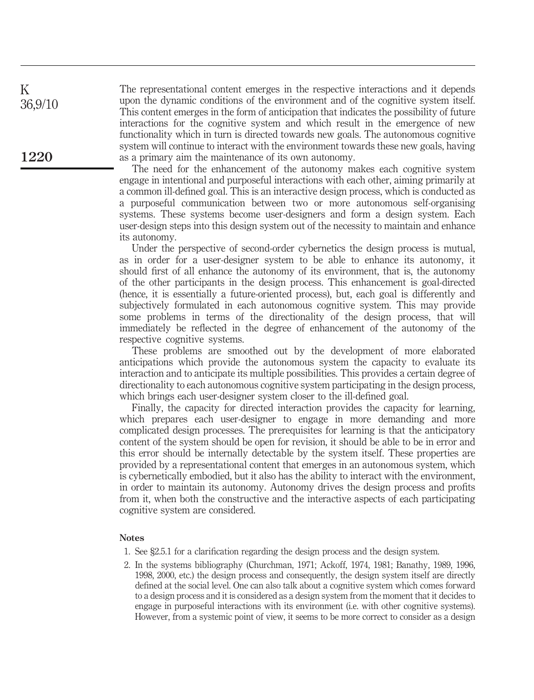The representational content emerges in the respective interactions and it depends upon the dynamic conditions of the environment and of the cognitive system itself. This content emerges in the form of anticipation that indicates the possibility of future interactions for the cognitive system and which result in the emergence of new functionality which in turn is directed towards new goals. The autonomous cognitive system will continue to interact with the environment towards these new goals, having as a primary aim the maintenance of its own autonomy.

The need for the enhancement of the autonomy makes each cognitive system engage in intentional and purposeful interactions with each other, aiming primarily at a common ill-defined goal. This is an interactive design process, which is conducted as a purposeful communication between two or more autonomous self-organising systems. These systems become user-designers and form a design system. Each user-design steps into this design system out of the necessity to maintain and enhance its autonomy.

Under the perspective of second-order cybernetics the design process is mutual, as in order for a user-designer system to be able to enhance its autonomy, it should first of all enhance the autonomy of its environment, that is, the autonomy of the other participants in the design process. This enhancement is goal-directed (hence, it is essentially a future-oriented process), but, each goal is differently and subjectively formulated in each autonomous cognitive system. This may provide some problems in terms of the directionality of the design process, that will immediately be reflected in the degree of enhancement of the autonomy of the respective cognitive systems.

These problems are smoothed out by the development of more elaborated anticipations which provide the autonomous system the capacity to evaluate its interaction and to anticipate its multiple possibilities. This provides a certain degree of directionality to each autonomous cognitive system participating in the design process, which brings each user-designer system closer to the ill-defined goal.

Finally, the capacity for directed interaction provides the capacity for learning, which prepares each user-designer to engage in more demanding and more complicated design processes. The prerequisites for learning is that the anticipatory content of the system should be open for revision, it should be able to be in error and this error should be internally detectable by the system itself. These properties are provided by a representational content that emerges in an autonomous system, which is cybernetically embodied, but it also has the ability to interact with the environment, in order to maintain its autonomy. Autonomy drives the design process and profits from it, when both the constructive and the interactive aspects of each participating cognitive system are considered.

#### Notes

- 1. See §2.5.1 for a clarification regarding the design process and the design system.
- 2. In the systems bibliography (Churchman, 1971; Ackoff, 1974, 1981; Banathy, 1989, 1996, 1998, 2000, etc.) the design process and consequently, the design system itself are directly defined at the social level. One can also talk about a cognitive system which comes forward to a design process and it is considered as a design system from the moment that it decides to engage in purposeful interactions with its environment (i.e. with other cognitive systems). However, from a systemic point of view, it seems to be more correct to consider as a design

1220

K 36,9/10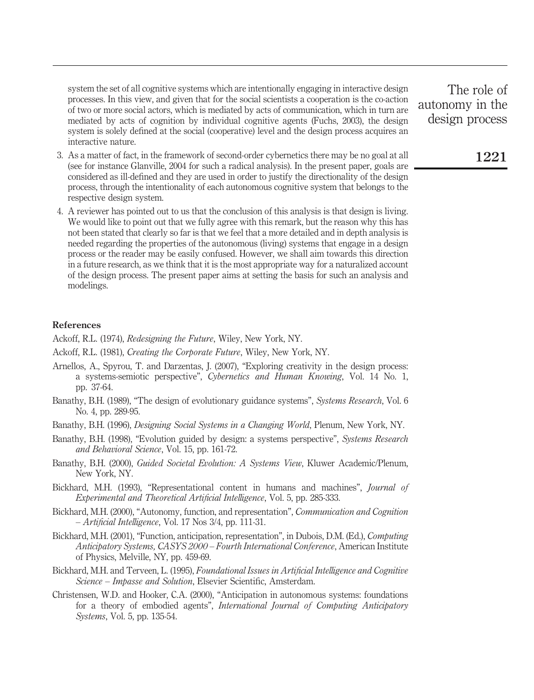system the set of all cognitive systems which are intentionally engaging in interactive design processes. In this view, and given that for the social scientists a cooperation is the co-action of two or more social actors, which is mediated by acts of communication, which in turn are mediated by acts of cognition by individual cognitive agents (Fuchs, 2003), the design system is solely defined at the social (cooperative) level and the design process acquires an interactive nature.

- 3. As a matter of fact, in the framework of second-order cybernetics there may be no goal at all (see for instance Glanville, 2004 for such a radical analysis). In the present paper, goals are considered as ill-defined and they are used in order to justify the directionality of the design process, through the intentionality of each autonomous cognitive system that belongs to the respective design system.
- 4. A reviewer has pointed out to us that the conclusion of this analysis is that design is living. We would like to point out that we fully agree with this remark, but the reason why this has not been stated that clearly so far is that we feel that a more detailed and in depth analysis is needed regarding the properties of the autonomous (living) systems that engage in a design process or the reader may be easily confused. However, we shall aim towards this direction in a future research, as we think that it is the most appropriate way for a naturalized account of the design process. The present paper aims at setting the basis for such an analysis and modelings.

## References

Ackoff, R.L. (1974), Redesigning the Future, Wiley, New York, NY.

- Ackoff, R.L. (1981), Creating the Corporate Future, Wiley, New York, NY.
- Arnellos, A., Spyrou, T. and Darzentas, J. (2007), "Exploring creativity in the design process: a systems-semiotic perspective", Cybernetics and Human Knowing, Vol. 14 No. 1, pp. 37-64.
- Banathy, B.H. (1989), "The design of evolutionary guidance systems", Systems Research, Vol. 6 No. 4, pp. 289-95.
- Banathy, B.H. (1996), Designing Social Systems in a Changing World, Plenum, New York, NY.
- Banathy, B.H. (1998), "Evolution guided by design: a systems perspective", Systems Research and Behavioral Science, Vol. 15, pp. 161-72.
- Banathy, B.H. (2000), Guided Societal Evolution: A Systems View, Kluwer Academic/Plenum, New York, NY.
- Bickhard, M.H. (1993), "Representational content in humans and machines", Journal of Experimental and Theoretical Artificial Intelligence, Vol. 5, pp. 285-333.
- Bickhard, M.H. (2000), "Autonomy, function, and representation", Communication and Cognition – Artificial Intelligence, Vol. 17 Nos 3/4, pp. 111-31.
- Bickhard, M.H. (2001), "Function, anticipation, representation", in Dubois, D.M. (Ed.), Computing Anticipatory Systems, CASYS 2000 – Fourth International Conference, American Institute of Physics, Melville, NY, pp. 459-69.
- Bickhard, M.H. and Terveen, L. (1995), Foundational Issues in Artificial Intelligence and Cognitive Science – Impasse and Solution, Elsevier Scientific, Amsterdam.
- Christensen, W.D. and Hooker, C.A. (2000), "Anticipation in autonomous systems: foundations for a theory of embodied agents", International Journal of Computing Anticipatory Systems, Vol. 5, pp. 135-54.

The role of autonomy in the design process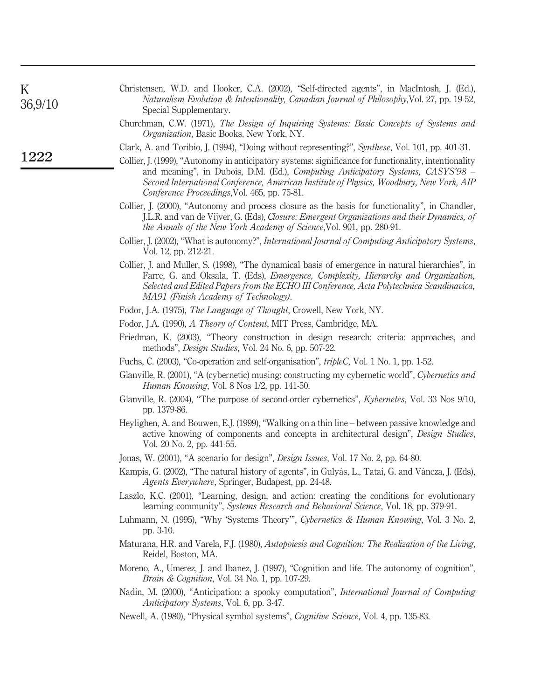| Κ<br>36,9/10<br>1222 | Christensen, W.D. and Hooker, C.A. (2002), "Self-directed agents", in MacIntosh, J. (Ed.),<br>Naturalism Evolution & Intentionality, Canadian Journal of Philosophy, Vol. 27, pp. 19-52,<br>Special Supplementary.                                                                                                                  |
|----------------------|-------------------------------------------------------------------------------------------------------------------------------------------------------------------------------------------------------------------------------------------------------------------------------------------------------------------------------------|
|                      | Churchman, C.W. (1971), The Design of Inquiring Systems: Basic Concepts of Systems and<br><i>Organization</i> , Basic Books, New York, NY.                                                                                                                                                                                          |
|                      | Clark, A. and Toribio, J. (1994), "Doing without representing?", <i>Synthese</i> , Vol. 101, pp. 401-31.                                                                                                                                                                                                                            |
|                      | Collier, J. (1999), "Autonomy in anticipatory systems: significance for functionality, intentionality<br>and meaning", in Dubois, D.M. (Ed.), Computing Anticipatory Systems, CASYS'98 -<br>Second International Conference, American Institute of Physics, Woodbury, New York, AIP<br>Conference Proceedings, Vol. 465, pp. 75-81. |
|                      | Collier, J. (2000), "Autonomy and process closure as the basis for functionality", in Chandler,<br>J.L.R. and van de Vijver, G. (Eds), Closure: Emergent Organizations and their Dynamics, of<br>the Annals of the New York Academy of Science, Vol. 901, pp. 280-91.                                                               |
|                      | Collier, J. (2002), "What is autonomy?", International Journal of Computing Anticipatory Systems,<br>Vol. 12, pp. 212-21.                                                                                                                                                                                                           |
|                      | Collier, J. and Muller, S. (1998), "The dynamical basis of emergence in natural hierarchies", in<br>Farre, G. and Oksala, T. (Eds), <i>Emergence, Complexity, Hierarchy and Organization</i> ,<br>Selected and Edited Papers from the ECHO III Conference, Acta Polytechnica Scandinavica,<br>MA91 (Finish Academy of Technology).  |
|                      | Fodor, J.A. (1975), The Language of Thought, Crowell, New York, NY.                                                                                                                                                                                                                                                                 |
|                      | Fodor, J.A. (1990), A Theory of Content, MIT Press, Cambridge, MA.                                                                                                                                                                                                                                                                  |
|                      | Friedman, K. (2003), "Theory construction in design research: criteria: approaches, and<br>methods", <i>Design Studies</i> , Vol. 24 No. 6, pp. 507-22.                                                                                                                                                                             |
|                      | Fuchs, C. (2003), "Co-operation and self-organisation", <i>tripleC</i> , Vol. 1 No. 1, pp. 1-52.                                                                                                                                                                                                                                    |
|                      | Glanville, R. (2001), "A (cybernetic) musing: constructing my cybernetic world", Cybernetics and<br><i>Human Knowing</i> , Vol. 8 Nos 1/2, pp. 141-50.                                                                                                                                                                              |
|                      | Glanville, R. (2004), "The purpose of second-order cybernetics", <i>Kybernetes</i> , Vol. 33 Nos 9/10,<br>pp. 1379-86.                                                                                                                                                                                                              |
|                      | Heylighen, A. and Bouwen, E.J. (1999), "Walking on a thin line – between passive knowledge and<br>active knowing of components and concepts in architectural design", Design Studies,<br>Vol. 20 No. 2, pp. 441-55.                                                                                                                 |
|                      | Jonas, W. (2001), "A scenario for design", <i>Design Issues</i> , Vol. 17 No. 2, pp. 64-80.                                                                                                                                                                                                                                         |
|                      | Kampis, G. (2002), "The natural history of agents", in Gulyás, L., Tatai, G. and Váncza, J. (Eds),<br>Agents Everywhere, Springer, Budapest, pp. 24-48.                                                                                                                                                                             |
|                      | Laszlo, K.C. (2001), "Learning, design, and action: creating the conditions for evolutionary<br>learning community", Systems Research and Behavioral Science, Vol. 18, pp. 379-91.                                                                                                                                                  |
|                      | Luhmann, N. (1995), "Why 'Systems Theory", Cybernetics & Human Knowing, Vol. 3 No. 2,<br>pp. 3-10.                                                                                                                                                                                                                                  |
|                      | Maturana, H.R. and Varela, F.J. (1980), Autopoiesis and Cognition: The Realization of the Living,<br>Reidel, Boston, MA.                                                                                                                                                                                                            |
|                      | Moreno, A., Umerez, J. and Ibanez, J. (1997), "Cognition and life. The autonomy of cognition",<br><i>Brain &amp; Cognition, Vol. 34 No. 1, pp. 107-29.</i>                                                                                                                                                                          |
|                      | Nadin, M. (2000), "Anticipation: a spooky computation", International Journal of Computing<br>Anticipatory Systems, Vol. 6, pp. 3-47.                                                                                                                                                                                               |
|                      | Newell, A. (1980), "Physical symbol systems", Cognitive Science, Vol. 4, pp. 135-83.                                                                                                                                                                                                                                                |
|                      |                                                                                                                                                                                                                                                                                                                                     |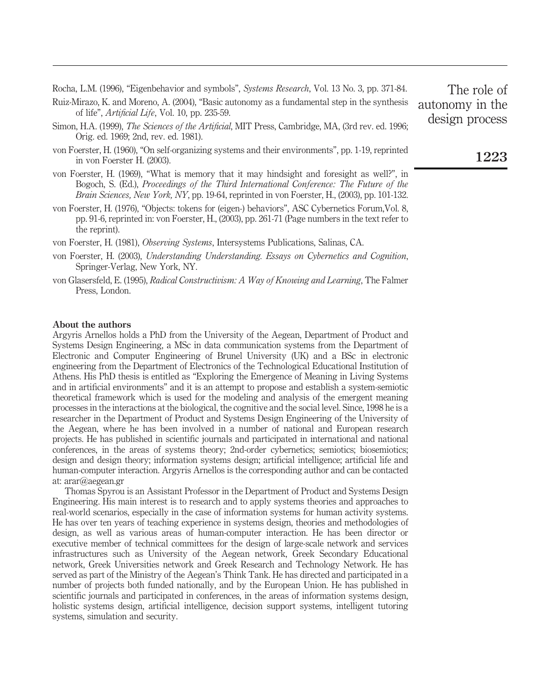Rocha, L.M. (1996), "Eigenbehavior and symbols", Systems Research, Vol. 13 No. 3, pp. 371-84.

- Ruiz-Mirazo, K. and Moreno, A. (2004), "Basic autonomy as a fundamental step in the synthesis of life", Artificial Life, Vol. 10, pp. 235-59.
- Simon, H.A. (1999), The Sciences of the Artificial, MIT Press, Cambridge, MA, (3rd rev. ed. 1996; Orig. ed. 1969; 2nd, rev. ed. 1981).
- von Foerster, H. (1960), "On self-organizing systems and their environments", pp. 1-19, reprinted in von Foerster H. (2003).
- von Foerster, H. (1969), "What is memory that it may hindsight and foresight as well?", in Bogoch, S. (Ed.), Proceedings of the Third International Conference: The Future of the Brain Sciences, New York, NY, pp. 19-64, reprinted in von Foerster, H., (2003), pp. 101-132.
- von Foerster, H. (1976), "Objects: tokens for (eigen-) behaviors", ASC Cybernetics Forum,Vol. 8, pp. 91-6, reprinted in: von Foerster, H., (2003), pp. 261-71 (Page numbers in the text refer to the reprint).
- von Foerster, H. (1981), Observing Systems, Intersystems Publications, Salinas, CA.
- von Foerster, H. (2003), Understanding Understanding. Essays on Cybernetics and Cognition, Springer-Verlag, New York, NY.
- von Glasersfeld, E. (1995), Radical Constructivism: A Way of Knowing and Learning, The Falmer Press, London.

#### About the authors

Argyris Arnellos holds a PhD from the University of the Aegean, Department of Product and Systems Design Engineering, a MSc in data communication systems from the Department of Electronic and Computer Engineering of Brunel University (UK) and a BSc in electronic engineering from the Department of Electronics of the Technological Educational Institution of Athens. His PhD thesis is entitled as "Exploring the Emergence of Meaning in Living Systems and in artificial environments" and it is an attempt to propose and establish a system-semiotic theoretical framework which is used for the modeling and analysis of the emergent meaning processes in the interactions at the biological, the cognitive and the social level. Since, 1998 he is a researcher in the Department of Product and Systems Design Engineering of the University of the Aegean, where he has been involved in a number of national and European research projects. He has published in scientific journals and participated in international and national conferences, in the areas of systems theory; 2nd-order cybernetics; semiotics; biosemiotics; design and design theory; information systems design; artificial intelligence; artificial life and human-computer interaction. Argyris Arnellos is the corresponding author and can be contacted at: arar@aegean.gr

Thomas Spyrou is an Assistant Professor in the Department of Product and Systems Design Engineering. His main interest is to research and to apply systems theories and approaches to real-world scenarios, especially in the case of information systems for human activity systems. He has over ten years of teaching experience in systems design, theories and methodologies of design, as well as various areas of human-computer interaction. He has been director or executive member of technical committees for the design of large-scale network and services infrastructures such as University of the Aegean network, Greek Secondary Educational network, Greek Universities network and Greek Research and Technology Network. He has served as part of the Ministry of the Aegean's Think Tank. He has directed and participated in a number of projects both funded nationally, and by the European Union. He has published in scientific journals and participated in conferences, in the areas of information systems design, holistic systems design, artificial intelligence, decision support systems, intelligent tutoring systems, simulation and security.

The role of autonomy in the design process